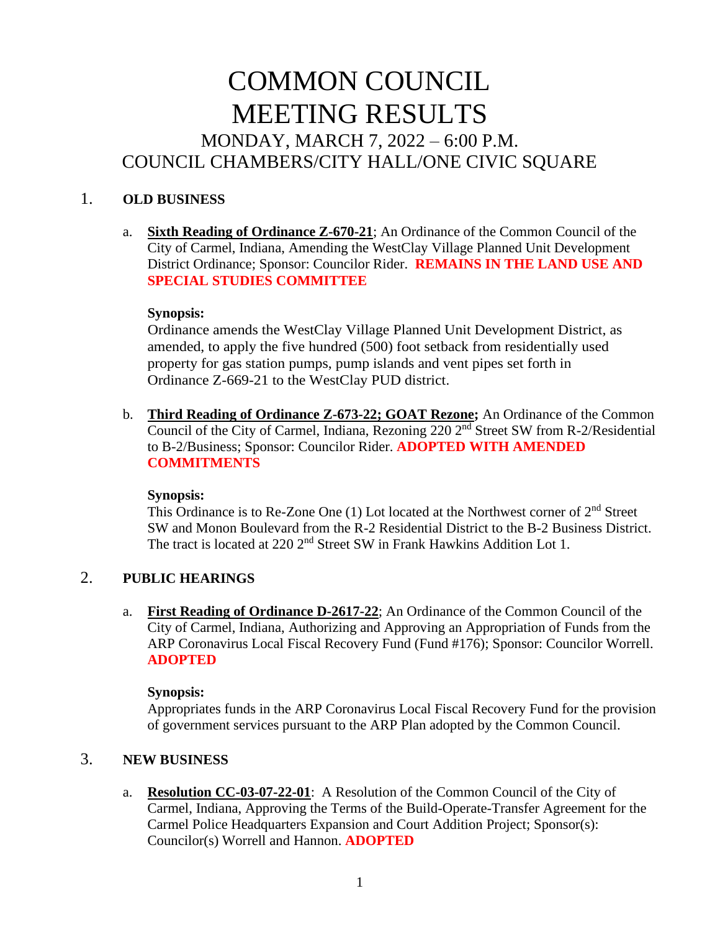# COMMON COUNCIL MEETING RESULTS MONDAY, MARCH 7, 2022 – 6:00 P.M. COUNCIL CHAMBERS/CITY HALL/ONE CIVIC SQUARE

## 1. **OLD BUSINESS**

a. **Sixth Reading of Ordinance Z-670-21**; An Ordinance of the Common Council of the City of Carmel, Indiana, Amending the WestClay Village Planned Unit Development District Ordinance; Sponsor: Councilor Rider. **REMAINS IN THE LAND USE AND SPECIAL STUDIES COMMITTEE**

#### **Synopsis:**

Ordinance amends the WestClay Village Planned Unit Development District, as amended, to apply the five hundred (500) foot setback from residentially used property for gas station pumps, pump islands and vent pipes set forth in Ordinance Z-669-21 to the WestClay PUD district.

b. **Third Reading of Ordinance Z-673-22; GOAT Rezone;** An Ordinance of the Common Council of the City of Carmel, Indiana, Rezoning 220 2<sup>nd</sup> Street SW from R-2/Residential to B-2/Business; Sponsor: Councilor Rider. **ADOPTED WITH AMENDED COMMITMENTS**

#### **Synopsis:**

This Ordinance is to Re-Zone One (1) Lot located at the Northwest corner of 2nd Street SW and Monon Boulevard from the R-2 Residential District to the B-2 Business District. The tract is located at 220 2<sup>nd</sup> Street SW in Frank Hawkins Addition Lot 1.

# 2. **PUBLIC HEARINGS**

a. **First Reading of Ordinance D-2617-22**; An Ordinance of the Common Council of the City of Carmel, Indiana, Authorizing and Approving an Appropriation of Funds from the ARP Coronavirus Local Fiscal Recovery Fund (Fund #176); Sponsor: Councilor Worrell. **ADOPTED**

#### **Synopsis:**

Appropriates funds in the ARP Coronavirus Local Fiscal Recovery Fund for the provision of government services pursuant to the ARP Plan adopted by the Common Council.

## 3. **NEW BUSINESS**

a. **Resolution CC-03-07-22-01**: A Resolution of the Common Council of the City of Carmel, Indiana, Approving the Terms of the Build-Operate-Transfer Agreement for the Carmel Police Headquarters Expansion and Court Addition Project; Sponsor(s): Councilor(s) Worrell and Hannon. **ADOPTED**